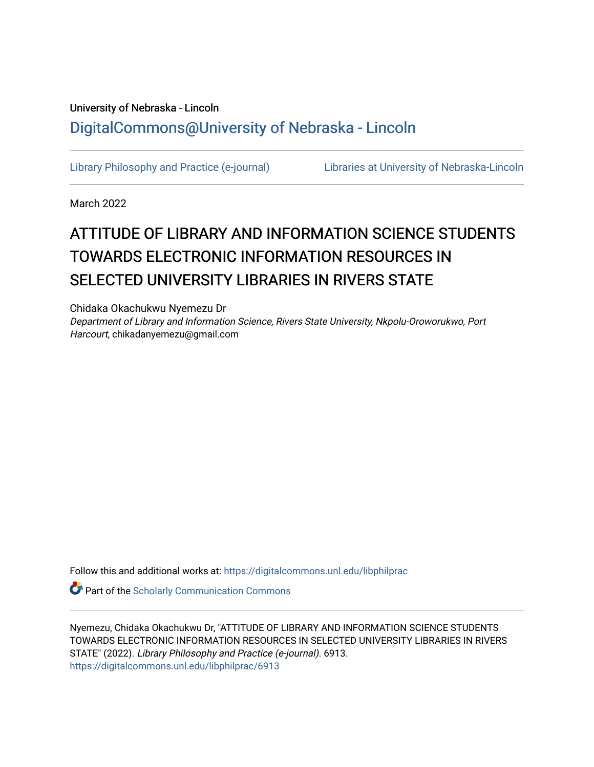## University of Nebraska - Lincoln [DigitalCommons@University of Nebraska - Lincoln](https://digitalcommons.unl.edu/)

[Library Philosophy and Practice \(e-journal\)](https://digitalcommons.unl.edu/libphilprac) [Libraries at University of Nebraska-Lincoln](https://digitalcommons.unl.edu/libraries) 

March 2022

# ATTITUDE OF LIBRARY AND INFORMATION SCIENCE STUDENTS TOWARDS ELECTRONIC INFORMATION RESOURCES IN SELECTED UNIVERSITY LIBRARIES IN RIVERS STATE

Chidaka Okachukwu Nyemezu Dr Department of Library and Information Science, Rivers State University, Nkpolu-Oroworukwo, Port Harcourt, chikadanyemezu@gmail.com

Follow this and additional works at: [https://digitalcommons.unl.edu/libphilprac](https://digitalcommons.unl.edu/libphilprac?utm_source=digitalcommons.unl.edu%2Flibphilprac%2F6913&utm_medium=PDF&utm_campaign=PDFCoverPages) 

**Part of the Scholarly Communication Commons** 

Nyemezu, Chidaka Okachukwu Dr, "ATTITUDE OF LIBRARY AND INFORMATION SCIENCE STUDENTS TOWARDS ELECTRONIC INFORMATION RESOURCES IN SELECTED UNIVERSITY LIBRARIES IN RIVERS STATE" (2022). Library Philosophy and Practice (e-journal). 6913. [https://digitalcommons.unl.edu/libphilprac/6913](https://digitalcommons.unl.edu/libphilprac/6913?utm_source=digitalcommons.unl.edu%2Flibphilprac%2F6913&utm_medium=PDF&utm_campaign=PDFCoverPages)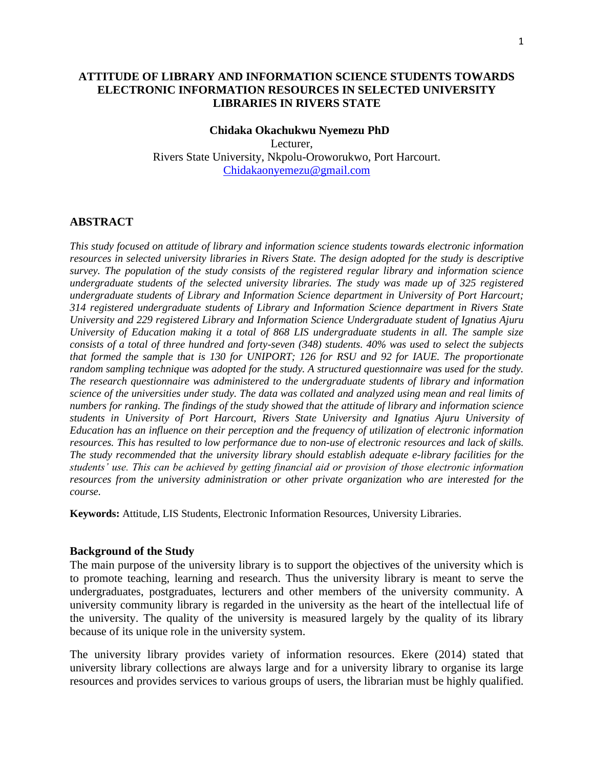### **ATTITUDE OF LIBRARY AND INFORMATION SCIENCE STUDENTS TOWARDS ELECTRONIC INFORMATION RESOURCES IN SELECTED UNIVERSITY LIBRARIES IN RIVERS STATE**

#### **Chidaka Okachukwu Nyemezu PhD**

Lecturer, Rivers State University, Nkpolu-Oroworukwo, Port Harcourt. Chidakaonyemezu@gmail.com

#### **ABSTRACT**

*This study focused on attitude of library and information science students towards electronic information resources in selected university libraries in Rivers State. The design adopted for the study is descriptive survey. The population of the study consists of the registered regular library and information science undergraduate students of the selected university libraries. The study was made up of 325 registered undergraduate students of Library and Information Science department in University of Port Harcourt; 314 registered undergraduate students of Library and Information Science department in Rivers State University and 229 registered Library and Information Science Undergraduate student of Ignatius Ajuru University of Education making it a total of 868 LIS undergraduate students in all. The sample size consists of a total of three hundred and forty-seven (348) students. 40% was used to select the subjects that formed the sample that is 130 for UNIPORT; 126 for RSU and 92 for IAUE. The proportionate random sampling technique was adopted for the study. A structured questionnaire was used for the study. The research questionnaire was administered to the undergraduate students of library and information science of the universities under study. The data was collated and analyzed using mean and real limits of numbers for ranking. The findings of the study showed that the attitude of library and information science students in University of Port Harcourt, Rivers State University and Ignatius Ajuru University of Education has an influence on their perception and the frequency of utilization of electronic information resources. This has resulted to low performance due to non-use of electronic resources and lack of skills. The study recommended that the university library should establish adequate e-library facilities for the students' use. This can be achieved by getting financial aid or provision of those electronic information resources from the university administration or other private organization who are interested for the course.*

**Keywords:** Attitude, LIS Students, Electronic Information Resources, University Libraries.

#### **Background of the Study**

The main purpose of the university library is to support the objectives of the university which is to promote teaching, learning and research. Thus the university library is meant to serve the undergraduates, postgraduates, lecturers and other members of the university community. A university community library is regarded in the university as the heart of the intellectual life of the university. The quality of the university is measured largely by the quality of its library because of its unique role in the university system.

The university library provides variety of information resources. Ekere (2014) stated that university library collections are always large and for a university library to organise its large resources and provides services to various groups of users, the librarian must be highly qualified.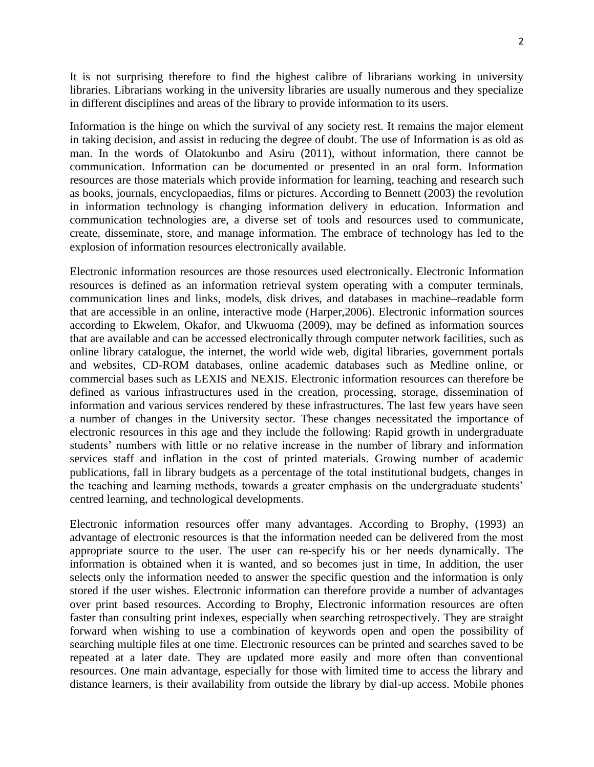It is not surprising therefore to find the highest calibre of librarians working in university libraries. Librarians working in the university libraries are usually numerous and they specialize in different disciplines and areas of the library to provide information to its users.

Information is the hinge on which the survival of any society rest. It remains the major element in taking decision, and assist in reducing the degree of doubt. The use of Information is as old as man. In the words of Olatokunbo and Asiru (2011), without information, there cannot be communication. Information can be documented or presented in an oral form. Information resources are those materials which provide information for learning, teaching and research such as books, journals, encyclopaedias, films or pictures. According to Bennett (2003) the revolution in information technology is changing information delivery in education. Information and communication technologies are, a diverse set of tools and resources used to communicate, create, disseminate, store, and manage information. The embrace of technology has led to the explosion of information resources electronically available.

Electronic information resources are those resources used electronically. Electronic Information resources is defined as an information retrieval system operating with a computer terminals, communication lines and links, models, disk drives, and databases in machine–readable form that are accessible in an online, interactive mode (Harper,2006). Electronic information sources according to Ekwelem, Okafor, and Ukwuoma (2009), may be defined as information sources that are available and can be accessed electronically through computer network facilities, such as online library catalogue, the internet, the world wide web, digital libraries, government portals and websites, CD-ROM databases, online academic databases such as Medline online, or commercial bases such as LEXIS and NEXIS. Electronic information resources can therefore be defined as various infrastructures used in the creation, processing, storage, dissemination of information and various services rendered by these infrastructures. The last few years have seen a number of changes in the University sector. These changes necessitated the importance of electronic resources in this age and they include the following: Rapid growth in undergraduate students' numbers with little or no relative increase in the number of library and information services staff and inflation in the cost of printed materials. Growing number of academic publications, fall in library budgets as a percentage of the total institutional budgets, changes in the teaching and learning methods, towards a greater emphasis on the undergraduate students' centred learning, and technological developments.

Electronic information resources offer many advantages. According to Brophy, (1993) an advantage of electronic resources is that the information needed can be delivered from the most appropriate source to the user. The user can re-specify his or her needs dynamically. The information is obtained when it is wanted, and so becomes just in time, In addition, the user selects only the information needed to answer the specific question and the information is only stored if the user wishes. Electronic information can therefore provide a number of advantages over print based resources. According to Brophy, Electronic information resources are often faster than consulting print indexes, especially when searching retrospectively. They are straight forward when wishing to use a combination of keywords open and open the possibility of searching multiple files at one time. Electronic resources can be printed and searches saved to be repeated at a later date. They are updated more easily and more often than conventional resources. One main advantage, especially for those with limited time to access the library and distance learners, is their availability from outside the library by dial-up access. Mobile phones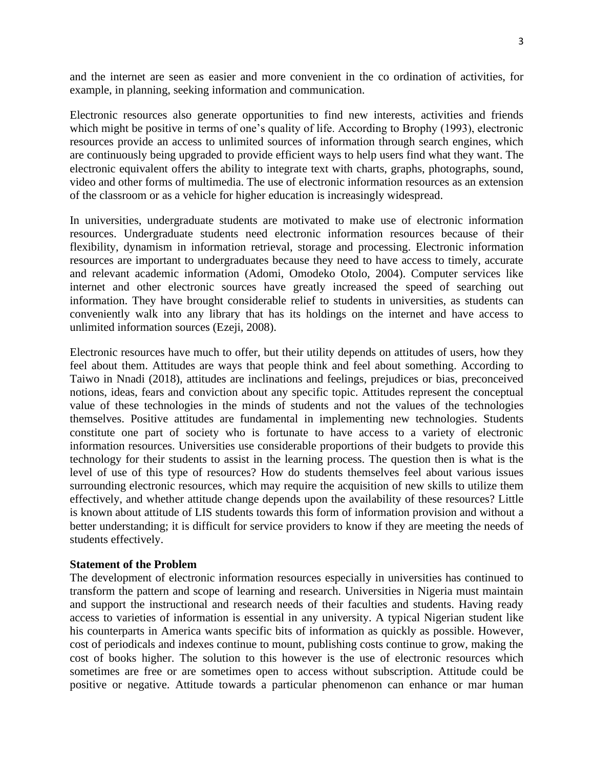and the internet are seen as easier and more convenient in the co ordination of activities, for example, in planning, seeking information and communication.

Electronic resources also generate opportunities to find new interests, activities and friends which might be positive in terms of one's quality of life. According to Brophy (1993), electronic resources provide an access to unlimited sources of information through search engines, which are continuously being upgraded to provide efficient ways to help users find what they want. The electronic equivalent offers the ability to integrate text with charts, graphs, photographs, sound, video and other forms of multimedia. The use of electronic information resources as an extension of the classroom or as a vehicle for higher education is increasingly widespread.

In universities, undergraduate students are motivated to make use of electronic information resources. Undergraduate students need electronic information resources because of their flexibility, dynamism in information retrieval, storage and processing. Electronic information resources are important to undergraduates because they need to have access to timely, accurate and relevant academic information (Adomi, Omodeko Otolo, 2004). Computer services like internet and other electronic sources have greatly increased the speed of searching out information. They have brought considerable relief to students in universities, as students can conveniently walk into any library that has its holdings on the internet and have access to unlimited information sources (Ezeji, 2008).

Electronic resources have much to offer, but their utility depends on attitudes of users, how they feel about them. Attitudes are ways that people think and feel about something. According to Taiwo in Nnadi (2018), attitudes are inclinations and feelings, prejudices or bias, preconceived notions, ideas, fears and conviction about any specific topic. Attitudes represent the conceptual value of these technologies in the minds of students and not the values of the technologies themselves. Positive attitudes are fundamental in implementing new technologies. Students constitute one part of society who is fortunate to have access to a variety of electronic information resources. Universities use considerable proportions of their budgets to provide this technology for their students to assist in the learning process. The question then is what is the level of use of this type of resources? How do students themselves feel about various issues surrounding electronic resources, which may require the acquisition of new skills to utilize them effectively, and whether attitude change depends upon the availability of these resources? Little is known about attitude of LIS students towards this form of information provision and without a better understanding; it is difficult for service providers to know if they are meeting the needs of students effectively.

#### **Statement of the Problem**

The development of electronic information resources especially in universities has continued to transform the pattern and scope of learning and research. Universities in Nigeria must maintain and support the instructional and research needs of their faculties and students. Having ready access to varieties of information is essential in any university. A typical Nigerian student like his counterparts in America wants specific bits of information as quickly as possible. However, cost of periodicals and indexes continue to mount, publishing costs continue to grow, making the cost of books higher. The solution to this however is the use of electronic resources which sometimes are free or are sometimes open to access without subscription. Attitude could be positive or negative. Attitude towards a particular phenomenon can enhance or mar human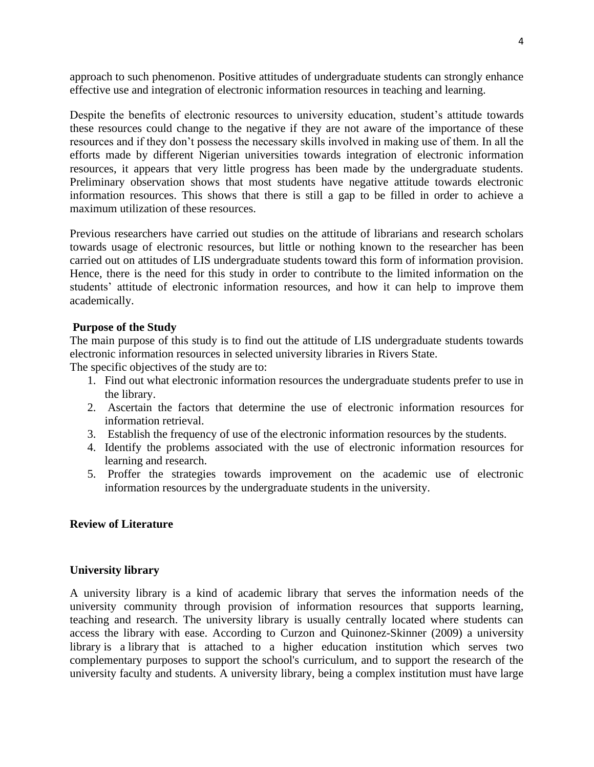approach to such phenomenon. Positive attitudes of undergraduate students can strongly enhance effective use and integration of electronic information resources in teaching and learning.

Despite the benefits of electronic resources to university education, student's attitude towards these resources could change to the negative if they are not aware of the importance of these resources and if they don't possess the necessary skills involved in making use of them. In all the efforts made by different Nigerian universities towards integration of electronic information resources, it appears that very little progress has been made by the undergraduate students. Preliminary observation shows that most students have negative attitude towards electronic information resources. This shows that there is still a gap to be filled in order to achieve a maximum utilization of these resources.

Previous researchers have carried out studies on the attitude of librarians and research scholars towards usage of electronic resources, but little or nothing known to the researcher has been carried out on attitudes of LIS undergraduate students toward this form of information provision. Hence, there is the need for this study in order to contribute to the limited information on the students' attitude of electronic information resources, and how it can help to improve them academically.

## **Purpose of the Study**

The main purpose of this study is to find out the attitude of LIS undergraduate students towards electronic information resources in selected university libraries in Rivers State.

The specific objectives of the study are to:

- 1. Find out what electronic information resources the undergraduate students prefer to use in the library.
- 2. Ascertain the factors that determine the use of electronic information resources for information retrieval.
- 3. Establish the frequency of use of the electronic information resources by the students.
- 4. Identify the problems associated with the use of electronic information resources for learning and research.
- 5. Proffer the strategies towards improvement on the academic use of electronic information resources by the undergraduate students in the university.

## **Review of Literature**

## **University library**

A university library is a kind of academic library that serves the information needs of the university community through provision of information resources that supports learning, teaching and research. The university library is usually centrally located where students can access the library with ease. According to Curzon and Quinonez-Skinner (2009) a university library is a [library](https://en.wikipedia.org/wiki/Library) that is attached to a higher education institution which serves two complementary purposes to support the school's curriculum, and to support the research of the university faculty and students. A university library, being a complex institution must have large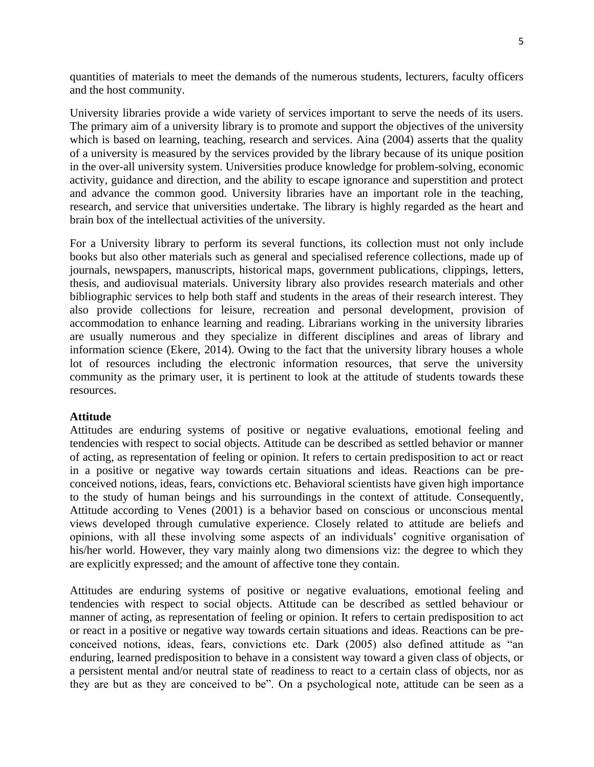quantities of materials to meet the demands of the numerous students, lecturers, faculty officers and the host community.

University libraries provide a wide variety of services important to serve the needs of its users. The primary aim of a university library is to promote and support the objectives of the university which is based on learning, teaching, research and services. Aina (2004) asserts that the quality of a university is measured by the services provided by the library because of its unique position in the over-all university system. Universities produce knowledge for problem-solving, economic activity, guidance and direction, and the ability to escape ignorance and superstition and protect and advance the common good. University libraries have an important role in the teaching, research, and service that universities undertake. The library is highly regarded as the heart and brain box of the intellectual activities of the university.

For a University library to perform its several functions, its collection must not only include books but also other materials such as general and specialised reference collections, made up of journals, newspapers, manuscripts, historical maps, government publications, clippings, letters, thesis, and audiovisual materials. University library also provides research materials and other bibliographic services to help both staff and students in the areas of their research interest. They also provide collections for leisure, recreation and personal development, provision of accommodation to enhance learning and reading. Librarians working in the university libraries are usually numerous and they specialize in different disciplines and areas of library and information science (Ekere, 2014). Owing to the fact that the university library houses a whole lot of resources including the electronic information resources, that serve the university community as the primary user, it is pertinent to look at the attitude of students towards these resources.

## **Attitude**

Attitudes are enduring systems of positive or negative evaluations, emotional feeling and tendencies with respect to social objects. Attitude can be described as settled behavior or manner of acting, as representation of feeling or opinion. It refers to certain predisposition to act or react in a positive or negative way towards certain situations and ideas. Reactions can be preconceived notions, ideas, fears, convictions etc. Behavioral scientists have given high importance to the study of human beings and his surroundings in the context of attitude. Consequently, Attitude according to Venes (2001) is a behavior based on conscious or unconscious mental views developed through cumulative experience. Closely related to attitude are beliefs and opinions, with all these involving some aspects of an individuals' cognitive organisation of his/her world. However, they vary mainly along two dimensions viz: the degree to which they are explicitly expressed; and the amount of affective tone they contain.

Attitudes are enduring systems of positive or negative evaluations, emotional feeling and tendencies with respect to social objects. Attitude can be described as settled behaviour or manner of acting, as representation of feeling or opinion. It refers to certain predisposition to act or react in a positive or negative way towards certain situations and ideas. Reactions can be preconceived notions, ideas, fears, convictions etc. Dark (2005) also defined attitude as "an enduring, learned predisposition to behave in a consistent way toward a given class of objects, or a persistent mental and/or neutral state of readiness to react to a certain class of objects, nor as they are but as they are conceived to be". On a psychological note, attitude can be seen as a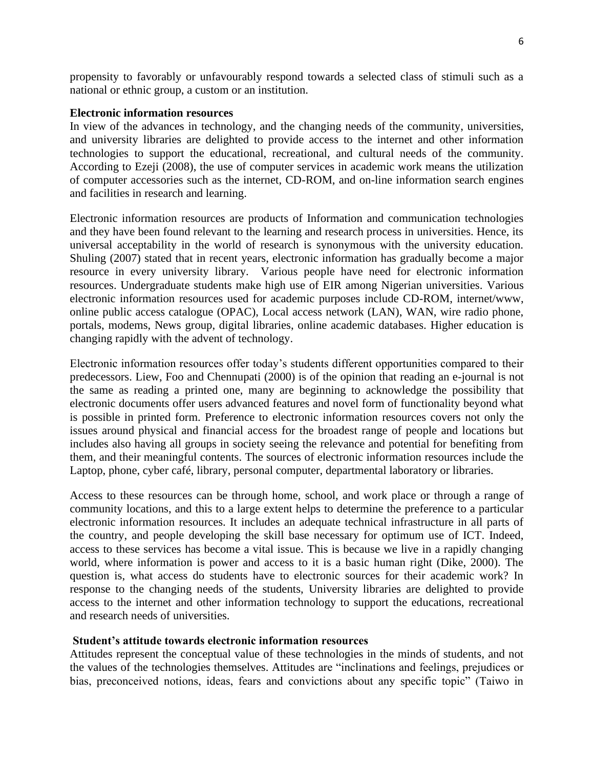propensity to favorably or unfavourably respond towards a selected class of stimuli such as a national or ethnic group, a custom or an institution.

#### **Electronic information resources**

In view of the advances in technology, and the changing needs of the community, universities, and university libraries are delighted to provide access to the internet and other information technologies to support the educational, recreational, and cultural needs of the community. According to Ezeji (2008), the use of computer services in academic work means the utilization of computer accessories such as the internet, CD-ROM, and on-line information search engines and facilities in research and learning.

Electronic information resources are products of Information and communication technologies and they have been found relevant to the learning and research process in universities. Hence, its universal acceptability in the world of research is synonymous with the university education. Shuling (2007) stated that in recent years, electronic information has gradually become a major resource in every university library. Various people have need for electronic information resources. Undergraduate students make high use of EIR among Nigerian universities. Various electronic information resources used for academic purposes include CD-ROM, internet/www, online public access catalogue (OPAC), Local access network (LAN), WAN, wire radio phone, portals, modems, News group, digital libraries, online academic databases. Higher education is changing rapidly with the advent of technology.

Electronic information resources offer today's students different opportunities compared to their predecessors. Liew, Foo and Chennupati (2000) is of the opinion that reading an e-journal is not the same as reading a printed one, many are beginning to acknowledge the possibility that electronic documents offer users advanced features and novel form of functionality beyond what is possible in printed form. Preference to electronic information resources covers not only the issues around physical and financial access for the broadest range of people and locations but includes also having all groups in society seeing the relevance and potential for benefiting from them, and their meaningful contents. The sources of electronic information resources include the Laptop, phone, cyber café, library, personal computer, departmental laboratory or libraries.

Access to these resources can be through home, school, and work place or through a range of community locations, and this to a large extent helps to determine the preference to a particular electronic information resources. It includes an adequate technical infrastructure in all parts of the country, and people developing the skill base necessary for optimum use of ICT. Indeed, access to these services has become a vital issue. This is because we live in a rapidly changing world, where information is power and access to it is a basic human right (Dike, 2000). The question is, what access do students have to electronic sources for their academic work? In response to the changing needs of the students, University libraries are delighted to provide access to the internet and other information technology to support the educations, recreational and research needs of universities.

#### **Student's attitude towards electronic information resources**

Attitudes represent the conceptual value of these technologies in the minds of students, and not the values of the technologies themselves. Attitudes are "inclinations and feelings, prejudices or bias, preconceived notions, ideas, fears and convictions about any specific topic" (Taiwo in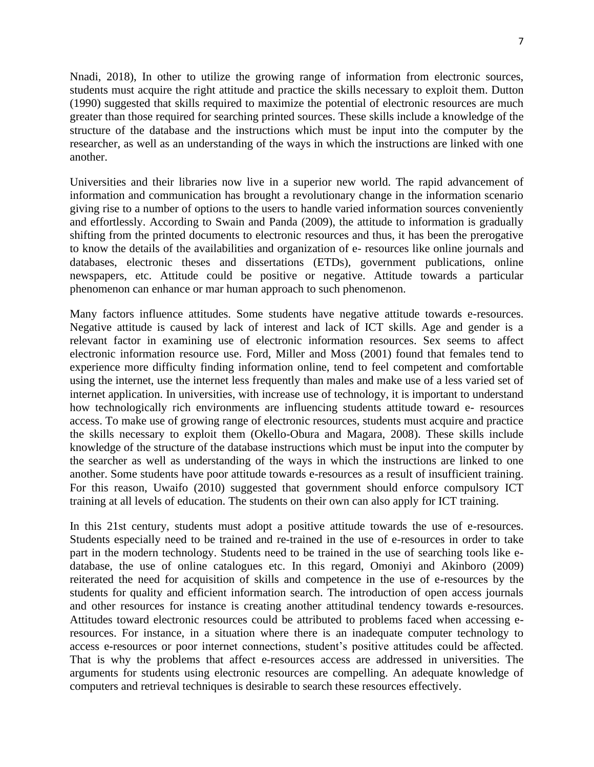Nnadi, 2018), In other to utilize the growing range of information from electronic sources, students must acquire the right attitude and practice the skills necessary to exploit them. Dutton (1990) suggested that skills required to maximize the potential of electronic resources are much greater than those required for searching printed sources. These skills include a knowledge of the structure of the database and the instructions which must be input into the computer by the researcher, as well as an understanding of the ways in which the instructions are linked with one another.

Universities and their libraries now live in a superior new world. The rapid advancement of information and communication has brought a revolutionary change in the information scenario giving rise to a number of options to the users to handle varied information sources conveniently and effortlessly. According to Swain and Panda (2009), the attitude to information is gradually shifting from the printed documents to electronic resources and thus, it has been the prerogative to know the details of the availabilities and organization of e- resources like online journals and databases, electronic theses and dissertations (ETDs), government publications, online newspapers, etc. Attitude could be positive or negative. Attitude towards a particular phenomenon can enhance or mar human approach to such phenomenon.

Many factors influence attitudes. Some students have negative attitude towards e-resources. Negative attitude is caused by lack of interest and lack of ICT skills. Age and gender is a relevant factor in examining use of electronic information resources. Sex seems to affect electronic information resource use. Ford, Miller and Moss (2001) found that females tend to experience more difficulty finding information online, tend to feel competent and comfortable using the internet, use the internet less frequently than males and make use of a less varied set of internet application. In universities, with increase use of technology, it is important to understand how technologically rich environments are influencing students attitude toward e- resources access. To make use of growing range of electronic resources, students must acquire and practice the skills necessary to exploit them (Okello-Obura and Magara, 2008). These skills include knowledge of the structure of the database instructions which must be input into the computer by the searcher as well as understanding of the ways in which the instructions are linked to one another. Some students have poor attitude towards e-resources as a result of insufficient training. For this reason, Uwaifo (2010) suggested that government should enforce compulsory ICT training at all levels of education. The students on their own can also apply for ICT training.

In this 21st century, students must adopt a positive attitude towards the use of e-resources. Students especially need to be trained and re-trained in the use of e-resources in order to take part in the modern technology. Students need to be trained in the use of searching tools like edatabase, the use of online catalogues etc. In this regard, Omoniyi and Akinboro (2009) reiterated the need for acquisition of skills and competence in the use of e-resources by the students for quality and efficient information search. The introduction of open access journals and other resources for instance is creating another attitudinal tendency towards e-resources. Attitudes toward electronic resources could be attributed to problems faced when accessing eresources. For instance, in a situation where there is an inadequate computer technology to access e-resources or poor internet connections, student's positive attitudes could be affected. That is why the problems that affect e-resources access are addressed in universities. The arguments for students using electronic resources are compelling. An adequate knowledge of computers and retrieval techniques is desirable to search these resources effectively.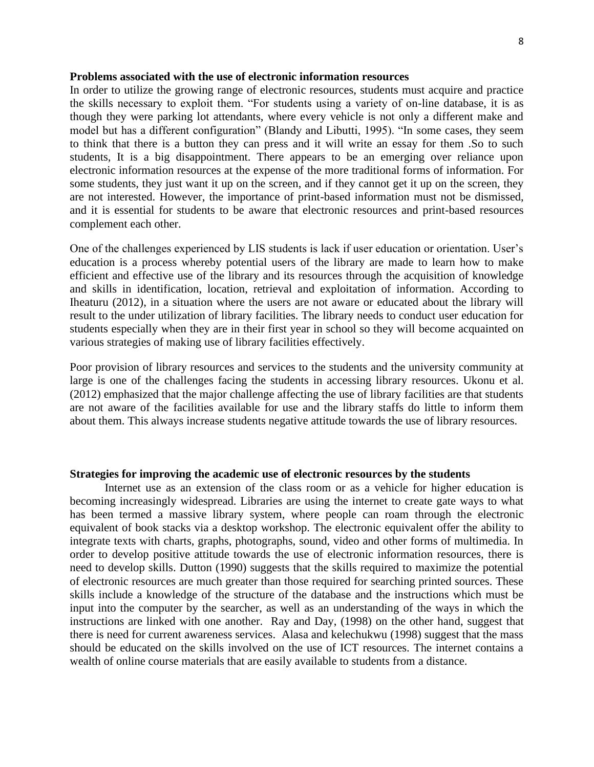#### **Problems associated with the use of electronic information resources**

In order to utilize the growing range of electronic resources, students must acquire and practice the skills necessary to exploit them. "For students using a variety of on-line database, it is as though they were parking lot attendants, where every vehicle is not only a different make and model but has a different configuration" (Blandy and Libutti, 1995). "In some cases, they seem to think that there is a button they can press and it will write an essay for them .So to such students, It is a big disappointment. There appears to be an emerging over reliance upon electronic information resources at the expense of the more traditional forms of information. For some students, they just want it up on the screen, and if they cannot get it up on the screen, they are not interested. However, the importance of print-based information must not be dismissed, and it is essential for students to be aware that electronic resources and print-based resources complement each other.

One of the challenges experienced by LIS students is lack if user education or orientation. User's education is a process whereby potential users of the library are made to learn how to make efficient and effective use of the library and its resources through the acquisition of knowledge and skills in identification, location, retrieval and exploitation of information. According to Iheaturu (2012), in a situation where the users are not aware or educated about the library will result to the under utilization of library facilities. The library needs to conduct user education for students especially when they are in their first year in school so they will become acquainted on various strategies of making use of library facilities effectively.

Poor provision of library resources and services to the students and the university community at large is one of the challenges facing the students in accessing library resources. Ukonu et al. (2012) emphasized that the major challenge affecting the use of library facilities are that students are not aware of the facilities available for use and the library staffs do little to inform them about them. This always increase students negative attitude towards the use of library resources.

#### **Strategies for improving the academic use of electronic resources by the students**

Internet use as an extension of the class room or as a vehicle for higher education is becoming increasingly widespread. Libraries are using the internet to create gate ways to what has been termed a massive library system, where people can roam through the electronic equivalent of book stacks via a desktop workshop. The electronic equivalent offer the ability to integrate texts with charts, graphs, photographs, sound, video and other forms of multimedia. In order to develop positive attitude towards the use of electronic information resources, there is need to develop skills. Dutton (1990) suggests that the skills required to maximize the potential of electronic resources are much greater than those required for searching printed sources. These skills include a knowledge of the structure of the database and the instructions which must be input into the computer by the searcher, as well as an understanding of the ways in which the instructions are linked with one another. Ray and Day, (1998) on the other hand, suggest that there is need for current awareness services. Alasa and kelechukwu (1998) suggest that the mass should be educated on the skills involved on the use of ICT resources. The internet contains a wealth of online course materials that are easily available to students from a distance.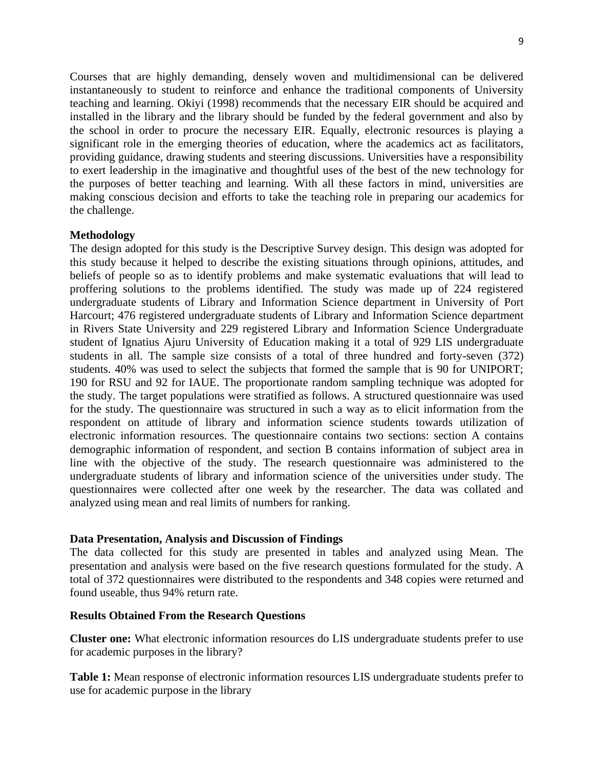Courses that are highly demanding, densely woven and multidimensional can be delivered instantaneously to student to reinforce and enhance the traditional components of University teaching and learning. Okiyi (1998) recommends that the necessary EIR should be acquired and installed in the library and the library should be funded by the federal government and also by the school in order to procure the necessary EIR. Equally, electronic resources is playing a significant role in the emerging theories of education, where the academics act as facilitators, providing guidance, drawing students and steering discussions. Universities have a responsibility to exert leadership in the imaginative and thoughtful uses of the best of the new technology for the purposes of better teaching and learning. With all these factors in mind, universities are making conscious decision and efforts to take the teaching role in preparing our academics for the challenge.

#### **Methodology**

The design adopted for this study is the Descriptive Survey design. This design was adopted for this study because it helped to describe the existing situations through opinions, attitudes, and beliefs of people so as to identify problems and make systematic evaluations that will lead to proffering solutions to the problems identified. The study was made up of 224 registered undergraduate students of Library and Information Science department in University of Port Harcourt; 476 registered undergraduate students of Library and Information Science department in Rivers State University and 229 registered Library and Information Science Undergraduate student of Ignatius Ajuru University of Education making it a total of 929 LIS undergraduate students in all. The sample size consists of a total of three hundred and forty-seven (372) students. 40% was used to select the subjects that formed the sample that is 90 for UNIPORT; 190 for RSU and 92 for IAUE. The proportionate random sampling technique was adopted for the study. The target populations were stratified as follows. A structured questionnaire was used for the study. The questionnaire was structured in such a way as to elicit information from the respondent on attitude of library and information science students towards utilization of electronic information resources. The questionnaire contains two sections: section A contains demographic information of respondent, and section B contains information of subject area in line with the objective of the study. The research questionnaire was administered to the undergraduate students of library and information science of the universities under study. The questionnaires were collected after one week by the researcher. The data was collated and analyzed using mean and real limits of numbers for ranking.

#### **Data Presentation, Analysis and Discussion of Findings**

The data collected for this study are presented in tables and analyzed using Mean. The presentation and analysis were based on the five research questions formulated for the study. A total of 372 questionnaires were distributed to the respondents and 348 copies were returned and found useable, thus 94% return rate.

#### **Results Obtained From the Research Questions**

**Cluster one:** What electronic information resources do LIS undergraduate students prefer to use for academic purposes in the library?

**Table 1:** Mean response of electronic information resources LIS undergraduate students prefer to use for academic purpose in the library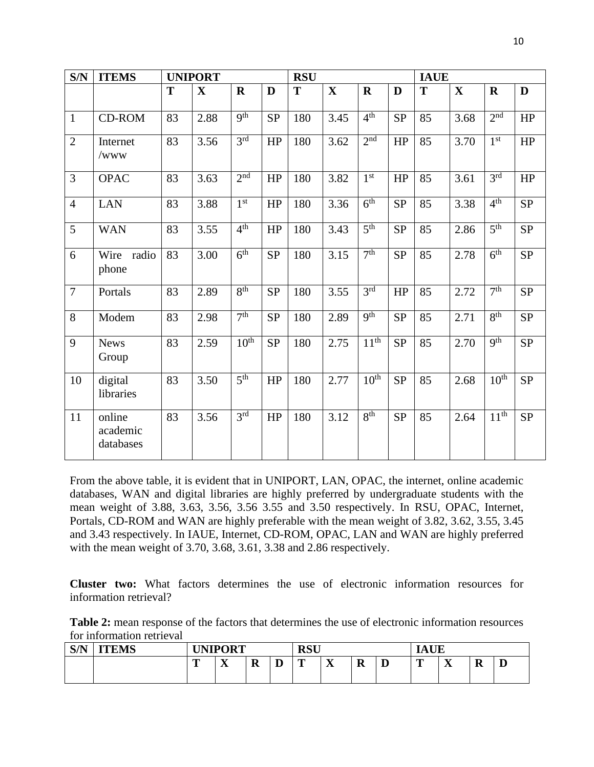| S/N            | <b>ITEMS</b>                    |    | <b>UNIPORT</b> |                  |           | <b>RSU</b> |             |                  |            | <b>IAUE</b> |              |                  |           |
|----------------|---------------------------------|----|----------------|------------------|-----------|------------|-------------|------------------|------------|-------------|--------------|------------------|-----------|
|                |                                 | T  | $\mathbf X$    | $\mathbf R$      | D         | T          | $\mathbf X$ | $\mathbf R$      | D          | T           | $\mathbf{X}$ | $\mathbf R$      | D         |
| $\mathbf{1}$   | <b>CD-ROM</b>                   | 83 | 2.88           | 9 <sup>th</sup>  | <b>SP</b> | 180        | 3.45        | 4 <sup>th</sup>  | <b>SP</b>  | 85          | 3.68         | 2 <sup>nd</sup>  | HP        |
| $\overline{2}$ | Internet<br>/www                | 83 | 3.56           | 3 <sup>rd</sup>  | HP        | 180        | 3.62        | 2 <sup>nd</sup>  | HP         | 85          | 3.70         | 1 <sup>st</sup>  | HP        |
| $\overline{3}$ | <b>OPAC</b>                     | 83 | 3.63           | 2 <sup>nd</sup>  | HP        | 180        | 3.82        | 1 <sup>st</sup>  | HP         | 85          | 3.61         | 3 <sup>rd</sup>  | HP        |
| $\overline{4}$ | <b>LAN</b>                      | 83 | 3.88           | 1 <sup>st</sup>  | HP        | 180        | 3.36        | 6 <sup>th</sup>  | ${\rm SP}$ | 85          | 3.38         | 4 <sup>th</sup>  | <b>SP</b> |
| 5              | <b>WAN</b>                      | 83 | 3.55           | 4 <sup>th</sup>  | HP        | 180        | 3.43        | 5 <sup>th</sup>  | <b>SP</b>  | 85          | 2.86         | 5 <sup>th</sup>  | <b>SP</b> |
| 6              | Wire radio<br>phone             | 83 | 3.00           | 6 <sup>th</sup>  | <b>SP</b> | 180        | 3.15        | 7 <sup>th</sup>  | <b>SP</b>  | 85          | 2.78         | 6 <sup>th</sup>  | <b>SP</b> |
| $\overline{7}$ | Portals                         | 83 | 2.89           | 8 <sup>th</sup>  | <b>SP</b> | 180        | 3.55        | 3 <sup>rd</sup>  | HP         | 85          | 2.72         | 7 <sup>th</sup>  | SP        |
| 8              | Modem                           | 83 | 2.98           | 7 <sup>th</sup>  | <b>SP</b> | 180        | 2.89        | 9 <sup>th</sup>  | <b>SP</b>  | 85          | 2.71         | 8 <sup>th</sup>  | <b>SP</b> |
| 9              | <b>News</b><br>Group            | 83 | 2.59           | 10 <sup>th</sup> | <b>SP</b> | 180        | 2.75        | 11 <sup>th</sup> | <b>SP</b>  | 85          | 2.70         | 9 <sup>th</sup>  | <b>SP</b> |
| 10             | digital<br>libraries            | 83 | 3.50           | 5 <sup>th</sup>  | HP        | 180        | 2.77        | 10 <sup>th</sup> | <b>SP</b>  | 85          | 2.68         | 10 <sup>th</sup> | <b>SP</b> |
| 11             | online<br>academic<br>databases | 83 | 3.56           | 3 <sup>rd</sup>  | HP        | 180        | 3.12        | 8 <sup>th</sup>  | <b>SP</b>  | 85          | 2.64         | 11 <sup>th</sup> | <b>SP</b> |

From the above table, it is evident that in UNIPORT, LAN, OPAC, the internet, online academic databases, WAN and digital libraries are highly preferred by undergraduate students with the mean weight of 3.88, 3.63, 3.56, 3.56 3.55 and 3.50 respectively. In RSU, OPAC, Internet, Portals, CD-ROM and WAN are highly preferable with the mean weight of 3.82, 3.62, 3.55, 3.45 and 3.43 respectively. In IAUE, Internet, CD-ROM, OPAC, LAN and WAN are highly preferred with the mean weight of 3.70, 3.68, 3.61, 3.38 and 2.86 respectively.

**Cluster two:** What factors determines the use of electronic information resources for information retrieval?

**Table 2:** mean response of the factors that determines the use of electronic information resources for information retrieval

| C/N<br>511 | <b>ITEMS</b> |   | <b>UNIPORT</b>            |             |   | <b>RSU</b> |                                      |        |   | . TIT.<br>ıА |                               |             |   |
|------------|--------------|---|---------------------------|-------------|---|------------|--------------------------------------|--------|---|--------------|-------------------------------|-------------|---|
|            |              | m | $\mathbf{x}$<br>$\Lambda$ | $\mathbf R$ | ┻ | m<br>-     | $\overline{\mathbf{x}}$<br>$\Lambda$ | D<br>ĸ | ≖ | œ            | $\overline{\mathbf{x}}$<br>∡⊾ | $\mathbf R$ | ≖ |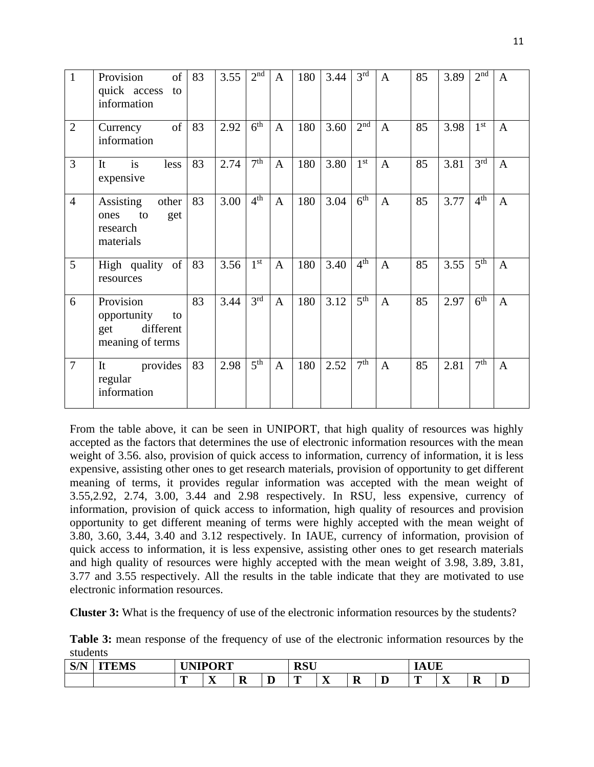| $\mathbf{1}$   | Provision<br>of<br>quick access<br>to<br>information                   | 83 | 3.55 | 2 <sup>nd</sup> | $\mathbf{A}$ | 180 | 3.44 | 3 <sup>rd</sup>     | $\mathbf{A}$ | 85 | 3.89 | 2 <sup>nd</sup> | $\mathbf{A}$ |
|----------------|------------------------------------------------------------------------|----|------|-----------------|--------------|-----|------|---------------------|--------------|----|------|-----------------|--------------|
| $\overline{2}$ | of<br>Currency<br>information                                          | 83 | 2.92 | 6 <sup>th</sup> | $\mathbf{A}$ | 180 | 3.60 | 2 <sup>nd</sup>     | $\mathbf{A}$ | 85 | 3.98 | 1 <sup>st</sup> | $\mathbf{A}$ |
| $\overline{3}$ | is<br>less<br>It<br>expensive                                          | 83 | 2.74 | 7 <sup>th</sup> | $\mathbf{A}$ | 180 | 3.80 | 1 <sup>st</sup>     | $\mathbf{A}$ | 85 | 3.81 | 3 <sup>rd</sup> | $\mathbf{A}$ |
| $\overline{4}$ | Assisting<br>other<br>to<br>get<br>ones<br>research<br>materials       | 83 | 3.00 | 4 <sup>th</sup> | $\mathbf{A}$ | 180 | 3.04 | $\overline{6^{th}}$ | $\mathbf{A}$ | 85 | 3.77 | 4 <sup>th</sup> | $\mathbf{A}$ |
| 5              | High quality of<br>resources                                           | 83 | 3.56 | 1 <sup>st</sup> | $\mathbf{A}$ | 180 | 3.40 | 4 <sup>th</sup>     | $\mathbf{A}$ | 85 | 3.55 | 5 <sup>th</sup> | $\mathbf{A}$ |
| 6              | Provision<br>opportunity<br>to<br>different<br>get<br>meaning of terms | 83 | 3.44 | 3 <sup>rd</sup> | $\mathbf{A}$ | 180 | 3.12 | 5 <sup>th</sup>     | $\mathbf{A}$ | 85 | 2.97 | 6 <sup>th</sup> | $\mathbf{A}$ |
| $\overline{7}$ | provides<br>It<br>regular<br>information                               | 83 | 2.98 | 5 <sup>th</sup> | $\mathbf{A}$ | 180 | 2.52 | 7 <sup>th</sup>     | $\mathbf{A}$ | 85 | 2.81 | 7 <sup>th</sup> | $\mathbf{A}$ |

From the table above, it can be seen in UNIPORT, that high quality of resources was highly accepted as the factors that determines the use of electronic information resources with the mean weight of 3.56. also, provision of quick access to information, currency of information, it is less expensive, assisting other ones to get research materials, provision of opportunity to get different meaning of terms, it provides regular information was accepted with the mean weight of 3.55,2.92, 2.74, 3.00, 3.44 and 2.98 respectively. In RSU, less expensive, currency of information, provision of quick access to information, high quality of resources and provision opportunity to get different meaning of terms were highly accepted with the mean weight of 3.80, 3.60, 3.44, 3.40 and 3.12 respectively. In IAUE, currency of information, provision of quick access to information, it is less expensive, assisting other ones to get research materials and high quality of resources were highly accepted with the mean weight of 3.98, 3.89, 3.81, 3.77 and 3.55 respectively. All the results in the table indicate that they are motivated to use electronic information resources.

**Cluster 3:** What is the frequency of use of the electronic information resources by the students?

**Table 3:** mean response of the frequency of use of the electronic information resources by the students

| <b>C/N</b><br>$U^{1}$ | $\cdot$ FMC<br><b><i><u>PERSONAL PROPERTY AND RESIDENCE PROPERTY AND RESIDENCE PROPERTY AND INCOME. </u></i></b> |   | <b>I UNIPORT</b><br>.           |    | DCII<br><b>R</b> dc |           |    |    | $\mathbf{r}$ and $\mathbf{r}$<br>. . |       |   |  |  |
|-----------------------|------------------------------------------------------------------------------------------------------------------|---|---------------------------------|----|---------------------|-----------|----|----|--------------------------------------|-------|---|--|--|
|                       |                                                                                                                  | - | $-$<br>$\overline{\phantom{a}}$ | -- | m                   | $-$<br>∡⊾ | -- | -- | --                                   | - - - | ĸ |  |  |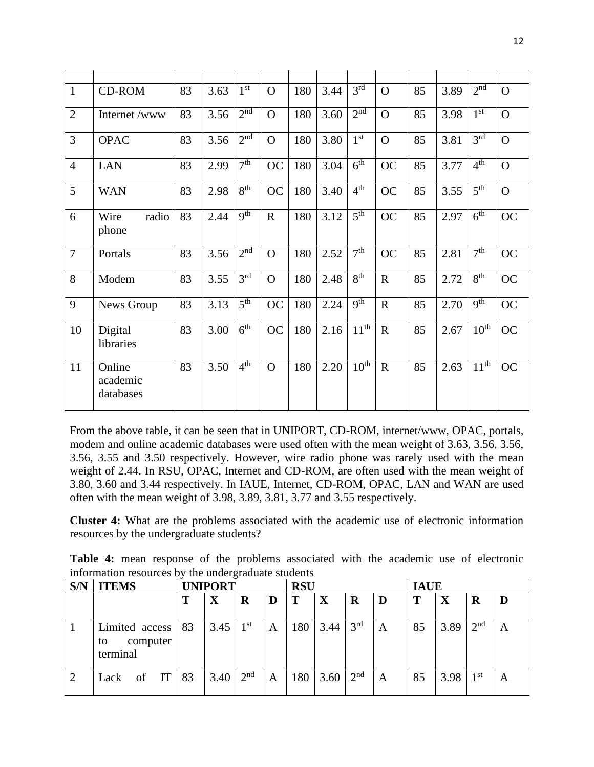| $\mathbf{1}$   | <b>CD-ROM</b>                   | 83 | 3.63 | 1 <sup>st</sup>            | $\Omega$    | 180 | 3.44 | 3 <sup>rd</sup>      | $\Omega$       | 85 | 3.89 | 2 <sup>nd</sup>     | $\Omega$  |
|----------------|---------------------------------|----|------|----------------------------|-------------|-----|------|----------------------|----------------|----|------|---------------------|-----------|
| $\overline{2}$ | Internet /www                   | 83 | 3.56 | 2 <sup>nd</sup>            | $\Omega$    | 180 | 3.60 | $2^{n\overline{d}}$  | $\Omega$       | 85 | 3.98 | 1 <sup>st</sup>     | $\Omega$  |
| 3              | <b>OPAC</b>                     | 83 | 3.56 | 2 <sup>nd</sup>            | $\Omega$    | 180 | 3.80 | 1 <sup>st</sup>      | $\overline{O}$ | 85 | 3.81 | 3 <sup>rd</sup>     | $\Omega$  |
| $\overline{4}$ | <b>LAN</b>                      | 83 | 2.99 | 7 <sup>th</sup>            | <b>OC</b>   | 180 | 3.04 | 6 <sup>th</sup>      | <b>OC</b>      | 85 | 3.77 | 4 <sup>th</sup>     | $\Omega$  |
| 5              | <b>WAN</b>                      | 83 | 2.98 | 8 <sup>th</sup>            | <b>OC</b>   | 180 | 3.40 | 4 <sup>th</sup>      | <b>OC</b>      | 85 | 3.55 | $\overline{5^{th}}$ | $\Omega$  |
| 6              | radio<br>Wire<br>phone          | 83 | 2.44 | q <sup>th</sup>            | $\mathbf R$ | 180 | 3.12 | $\overline{5^{th}}$  | <b>OC</b>      | 85 | 2.97 | 6 <sup>th</sup>     | <b>OC</b> |
| $\overline{7}$ | Portals                         | 83 | 3.56 | $2^{\overline{\text{nd}}}$ | $\Omega$    | 180 | 2.52 | 7 <sup>th</sup>      | <b>OC</b>      | 85 | 2.81 | 7 <sup>th</sup>     | <b>OC</b> |
| 8              | Modem                           | 83 | 3.55 | 3 <sup>rd</sup>            | $\Omega$    | 180 | 2.48 | 8 <sup>th</sup>      | $\mathbf R$    | 85 | 2.72 | 8 <sup>th</sup>     | <b>OC</b> |
| 9              | News Group                      | 83 | 3.13 | 5 <sup>th</sup>            | <b>OC</b>   | 180 | 2.24 | Q <sup>th</sup>      | $\mathbf R$    | 85 | 2.70 | 9 <sup>th</sup>     | <b>OC</b> |
| 10             | Digital<br>libraries            | 83 | 3.00 | 6 <sup>th</sup>            | <b>OC</b>   | 180 | 2.16 | $11^{\overline{th}}$ | $\mathbf R$    | 85 | 2.67 | 10 <sup>th</sup>    | <b>OC</b> |
| 11             | Online<br>academic<br>databases | 83 | 3.50 | 4 <sup>th</sup>            | $\Omega$    | 180 | 2.20 | $10^{\overline{th}}$ | $\mathbf R$    | 85 | 2.63 | $11^{th}$           | <b>OC</b> |

From the above table, it can be seen that in UNIPORT, CD-ROM, internet/www, OPAC, portals, modem and online academic databases were used often with the mean weight of 3.63, 3.56, 3.56, 3.56, 3.55 and 3.50 respectively. However, wire radio phone was rarely used with the mean weight of 2.44. In RSU, OPAC, Internet and CD-ROM, are often used with the mean weight of 3.80, 3.60 and 3.44 respectively. In IAUE, Internet, CD-ROM, OPAC, LAN and WAN are used often with the mean weight of 3.98, 3.89, 3.81, 3.77 and 3.55 respectively.

**Cluster 4:** What are the problems associated with the academic use of electronic information resources by the undergraduate students?

**Table 4:** mean response of the problems associated with the academic use of electronic information resources by the undergraduate students

| S/N | <b>ITEMS</b>                                 |    | <b>RSU</b><br><b>UNIPORT</b> |                 |   |     |      |                 |   | <b>IAUE</b> |             |                 |   |
|-----|----------------------------------------------|----|------------------------------|-----------------|---|-----|------|-----------------|---|-------------|-------------|-----------------|---|
|     |                                              |    | $\mathbf X$                  | R               | D | Т   | X    | R               | D |             | $\mathbf X$ | R               |   |
|     | Limited access<br>computer<br>to<br>terminal | 83 | 3.45                         | $1^{\rm st}$    | A | 180 | 3.44 | 3 <sup>rd</sup> | A | 85          | 3.89        | 2 <sup>nd</sup> | A |
|     | IT<br>of<br>Lack                             | 83 | 3.40                         | 2 <sup>nd</sup> | A | 180 | 3.60 | 2 <sup>nd</sup> | A | 85          | 3.98        | 1 <sup>st</sup> | A |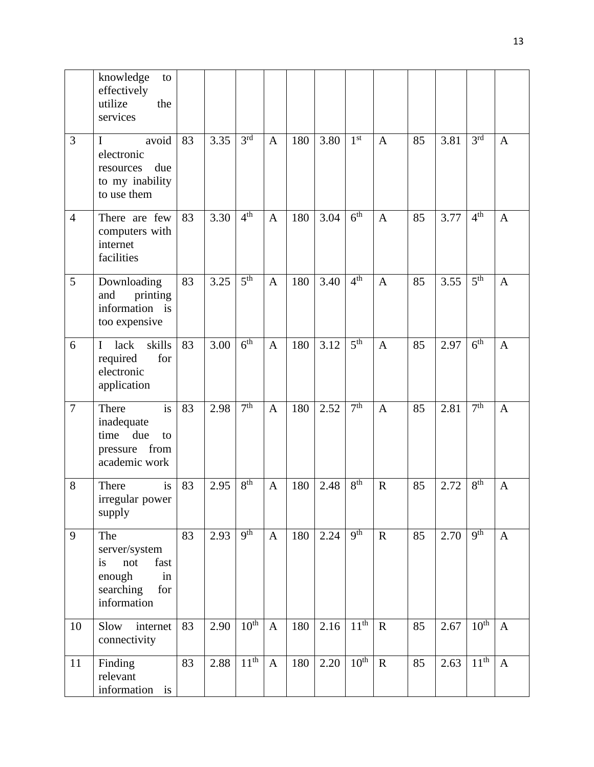|                | knowledge<br>to<br>effectively<br>utilize<br>the<br>services                                 |    |      |                  |              |     |      |                  |              |    |      |                  |              |
|----------------|----------------------------------------------------------------------------------------------|----|------|------------------|--------------|-----|------|------------------|--------------|----|------|------------------|--------------|
| 3              | avoid<br>$\bf{I}$<br>electronic<br>due<br>resources<br>to my inability<br>to use them        | 83 | 3.35 | 3 <sup>rd</sup>  | $\mathbf{A}$ | 180 | 3.80 | 1 <sup>st</sup>  | $\mathbf{A}$ | 85 | 3.81 | 3 <sup>rd</sup>  | $\mathbf{A}$ |
| $\overline{4}$ | There are few<br>computers with<br>internet<br>facilities                                    | 83 | 3.30 | 4 <sup>th</sup>  | $\mathbf{A}$ | 180 | 3.04 | 6 <sup>th</sup>  | $\mathbf{A}$ | 85 | 3.77 | 4 <sup>th</sup>  | $\mathbf{A}$ |
| 5              | Downloading<br>printing<br>and<br>information is<br>too expensive                            | 83 | 3.25 | 5 <sup>th</sup>  | $\mathbf{A}$ | 180 | 3.40 | 4 <sup>th</sup>  | $\mathbf{A}$ | 85 | 3.55 | 5 <sup>th</sup>  | $\mathbf{A}$ |
| 6              | skills<br>lack<br>$\mathbf I$<br>required<br>for<br>electronic<br>application                | 83 | 3.00 | 6 <sup>th</sup>  | $\mathbf{A}$ | 180 | 3.12 | 5 <sup>th</sup>  | $\mathbf{A}$ | 85 | 2.97 | 6 <sup>th</sup>  | $\mathbf{A}$ |
| $\overline{7}$ | is<br>There<br>inadequate<br>time due<br>to<br>pressure from<br>academic work                | 83 | 2.98 | 7 <sup>th</sup>  | $\mathbf{A}$ | 180 | 2.52 | 7 <sup>th</sup>  | $\mathbf{A}$ | 85 | 2.81 | 7 <sup>th</sup>  | $\mathbf{A}$ |
| 8              | is<br>There<br>irregular power<br>supply                                                     | 83 | 2.95 | 8 <sup>th</sup>  | $\mathbf{A}$ | 180 | 2.48 | 8 <sup>th</sup>  | $\mathbf R$  | 85 | 2.72 | 8 <sup>th</sup>  | $\mathbf{A}$ |
| 9              | The<br>server/system<br>fast<br>not<br>is<br>in<br>enough<br>searching<br>for<br>information | 83 | 2.93 | Q <sup>th</sup>  | $\mathbf{A}$ | 180 | 2.24 | 9 <sup>th</sup>  | ${\bf R}$    | 85 | 2.70 | 9 <sup>th</sup>  | $\mathbf{A}$ |
| 10             | internet<br>Slow<br>connectivity                                                             | 83 | 2.90 | 10 <sup>th</sup> | $\mathbf{A}$ | 180 | 2.16 | 11 <sup>th</sup> | $\mathbf R$  | 85 | 2.67 | $10^{\text{th}}$ | $\mathbf{A}$ |
| 11             | Finding<br>relevant<br>information is                                                        | 83 | 2.88 | 11 <sup>th</sup> | $\mathbf{A}$ | 180 | 2.20 | 10 <sup>th</sup> | $\mathbf R$  | 85 | 2.63 | 11 <sup>th</sup> | $\mathbf{A}$ |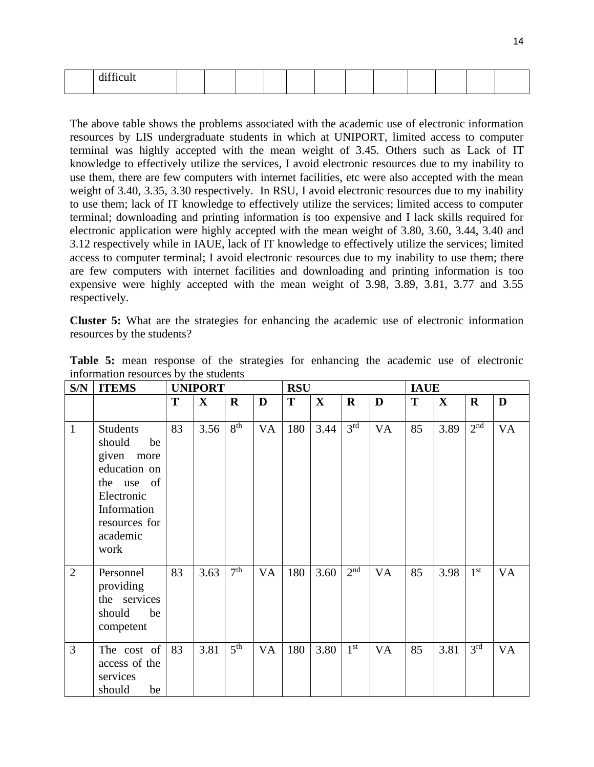| $\mathbf{1} \cdot \mathbf{C} \mathbf{C}$ |  |  |  |  |  |  |
|------------------------------------------|--|--|--|--|--|--|

The above table shows the problems associated with the academic use of electronic information resources by LIS undergraduate students in which at UNIPORT, limited access to computer terminal was highly accepted with the mean weight of 3.45. Others such as Lack of IT knowledge to effectively utilize the services, I avoid electronic resources due to my inability to use them, there are few computers with internet facilities, etc were also accepted with the mean weight of 3.40, 3.35, 3.30 respectively. In RSU, I avoid electronic resources due to my inability to use them; lack of IT knowledge to effectively utilize the services; limited access to computer terminal; downloading and printing information is too expensive and I lack skills required for electronic application were highly accepted with the mean weight of 3.80, 3.60, 3.44, 3.40 and 3.12 respectively while in IAUE, lack of IT knowledge to effectively utilize the services; limited access to computer terminal; I avoid electronic resources due to my inability to use them; there are few computers with internet facilities and downloading and printing information is too expensive were highly accepted with the mean weight of 3.98, 3.89, 3.81, 3.77 and 3.55 respectively.

**Cluster 5:** What are the strategies for enhancing the academic use of electronic information resources by the students?

| S/N            | <b>ITEMS</b>                                                                                                                                  |    | <b>UNIPORT</b> |                 |           | <b>RSU</b> |              |                 |           | <b>IAUE</b> |             |                 |    |
|----------------|-----------------------------------------------------------------------------------------------------------------------------------------------|----|----------------|-----------------|-----------|------------|--------------|-----------------|-----------|-------------|-------------|-----------------|----|
|                |                                                                                                                                               | T  | $\mathbf X$    | $\mathbf R$     | D         | T          | $\mathbf{X}$ | $\bf R$         | D         | T           | $\mathbf X$ | $\mathbf R$     | D  |
| $\mathbf{1}$   | <b>Students</b><br>should<br>be<br>given more<br>education on<br>the use of<br>Electronic<br>Information<br>resources for<br>academic<br>work | 83 | 3.56           | 8 <sup>th</sup> | <b>VA</b> | 180        | 3.44         | 3 <sup>rd</sup> | <b>VA</b> | 85          | 3.89        | 2 <sup>nd</sup> | VA |
| $\overline{2}$ | Personnel<br>providing<br>the services<br>should<br>be<br>competent                                                                           | 83 | 3.63           | 7 <sup>th</sup> | VA        | 180        | 3.60         | 2 <sup>nd</sup> | <b>VA</b> | 85          | 3.98        | $1^{\rm st}$    | VA |
| 3              | The cost of<br>access of the<br>services<br>be<br>should                                                                                      | 83 | 3.81           | 5 <sup>th</sup> | VA        | 180        | 3.80         | $1^{\rm st}$    | <b>VA</b> | 85          | 3.81        | 3 <sup>rd</sup> | VA |

**Table 5:** mean response of the strategies for enhancing the academic use of electronic information resources by the students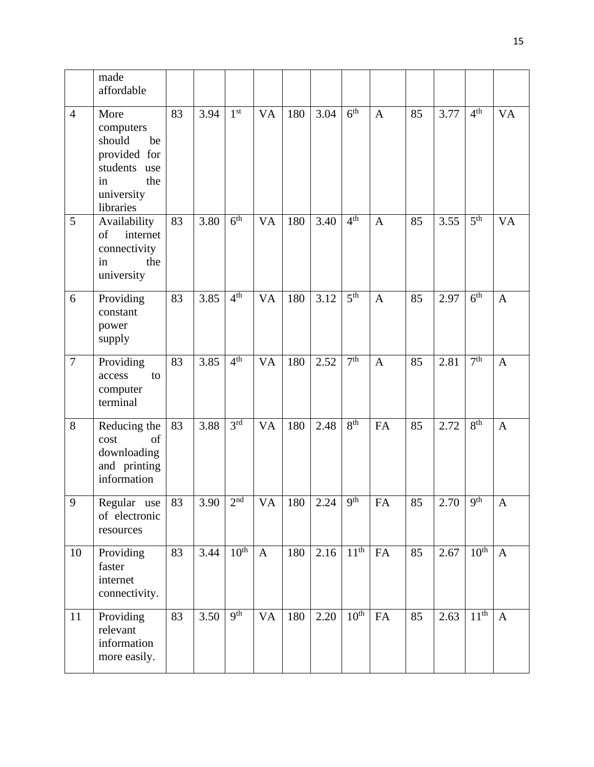|                | made<br>affordable                                                                                        |    |      |                  |                |     |            |                  |              |    |      |                  |              |
|----------------|-----------------------------------------------------------------------------------------------------------|----|------|------------------|----------------|-----|------------|------------------|--------------|----|------|------------------|--------------|
| $\overline{4}$ | More<br>computers<br>should<br>be<br>provided for<br>students use<br>the<br>in<br>university<br>libraries | 83 | 3.94 | 1 <sup>st</sup>  | <b>VA</b>      | 180 | 3.04       | 6 <sup>th</sup>  | $\mathbf{A}$ | 85 | 3.77 | 4 <sup>th</sup>  | <b>VA</b>    |
| 5              | Availability<br>of<br>internet<br>connectivity<br>the<br>in<br>university                                 | 83 | 3.80 | 6 <sup>th</sup>  | <b>VA</b>      | 180 | 3.40       | 4 <sup>th</sup>  | $\mathbf{A}$ | 85 | 3.55 | 5 <sup>th</sup>  | <b>VA</b>    |
| 6              | Providing<br>constant<br>power<br>supply                                                                  | 83 | 3.85 | 4 <sup>th</sup>  | VA             | 180 | 3.12       | 5 <sup>th</sup>  | $\mathbf{A}$ | 85 | 2.97 | 6 <sup>th</sup>  | A            |
| $\overline{7}$ | Providing<br>access<br>to<br>computer<br>terminal                                                         | 83 | 3.85 | 4 <sup>th</sup>  | <b>VA</b>      | 180 | 2.52       | 7 <sup>th</sup>  | $\mathbf{A}$ | 85 | 2.81 | 7 <sup>th</sup>  | $\mathbf{A}$ |
| 8              | Reducing the<br>cost<br>of<br>downloading<br>and printing<br>information                                  | 83 | 3.88 | 3 <sup>rd</sup>  | V <sub>A</sub> | 180 | 2.48       | 8 <sup>th</sup>  | FA           | 85 | 2.72 | 8 <sup>th</sup>  | $\mathbf{A}$ |
| 9              | Regular use<br>of electronic<br>resources                                                                 | 83 | 3.90 | 2 <sup>nd</sup>  | <b>VA</b>      |     | $180$ 2.24 | $9th$            | ${\rm FA}$   | 85 | 2.70 | 9 <sup>th</sup>  | $\mathbf{A}$ |
| 10             | Providing<br>faster<br>internet<br>connectivity.                                                          | 83 | 3.44 | 10 <sup>th</sup> | $\mathbf{A}$   | 180 | 2.16       | 11 <sup>th</sup> | FA           | 85 | 2.67 | $10^{th}$        | $\mathbf{A}$ |
| 11             | Providing<br>relevant<br>information<br>more easily.                                                      | 83 | 3.50 | q <sup>th</sup>  | <b>VA</b>      | 180 | 2.20       | 10 <sup>th</sup> | <b>FA</b>    | 85 | 2.63 | 11 <sup>th</sup> | $\mathbf{A}$ |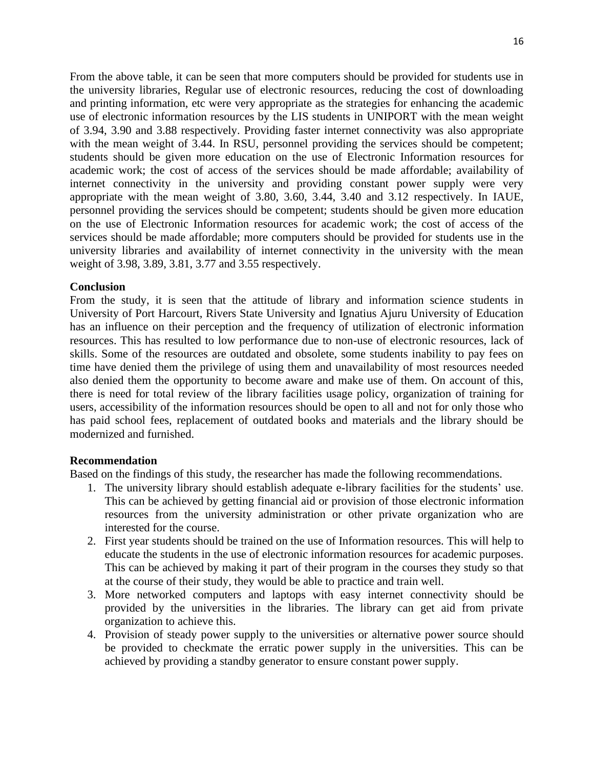From the above table, it can be seen that more computers should be provided for students use in the university libraries, Regular use of electronic resources, reducing the cost of downloading and printing information, etc were very appropriate as the strategies for enhancing the academic use of electronic information resources by the LIS students in UNIPORT with the mean weight of 3.94, 3.90 and 3.88 respectively. Providing faster internet connectivity was also appropriate with the mean weight of 3.44. In RSU, personnel providing the services should be competent; students should be given more education on the use of Electronic Information resources for academic work; the cost of access of the services should be made affordable; availability of internet connectivity in the university and providing constant power supply were very appropriate with the mean weight of 3.80, 3.60, 3.44, 3.40 and 3.12 respectively. In IAUE, personnel providing the services should be competent; students should be given more education on the use of Electronic Information resources for academic work; the cost of access of the services should be made affordable; more computers should be provided for students use in the university libraries and availability of internet connectivity in the university with the mean weight of 3.98, 3.89, 3.81, 3.77 and 3.55 respectively.

## **Conclusion**

From the study, it is seen that the attitude of library and information science students in University of Port Harcourt, Rivers State University and Ignatius Ajuru University of Education has an influence on their perception and the frequency of utilization of electronic information resources. This has resulted to low performance due to non-use of electronic resources, lack of skills. Some of the resources are outdated and obsolete, some students inability to pay fees on time have denied them the privilege of using them and unavailability of most resources needed also denied them the opportunity to become aware and make use of them. On account of this, there is need for total review of the library facilities usage policy, organization of training for users, accessibility of the information resources should be open to all and not for only those who has paid school fees, replacement of outdated books and materials and the library should be modernized and furnished.

## **Recommendation**

Based on the findings of this study, the researcher has made the following recommendations.

- 1. The university library should establish adequate e-library facilities for the students' use. This can be achieved by getting financial aid or provision of those electronic information resources from the university administration or other private organization who are interested for the course.
- 2. First year students should be trained on the use of Information resources. This will help to educate the students in the use of electronic information resources for academic purposes. This can be achieved by making it part of their program in the courses they study so that at the course of their study, they would be able to practice and train well.
- 3. More networked computers and laptops with easy internet connectivity should be provided by the universities in the libraries. The library can get aid from private organization to achieve this.
- 4. Provision of steady power supply to the universities or alternative power source should be provided to checkmate the erratic power supply in the universities. This can be achieved by providing a standby generator to ensure constant power supply.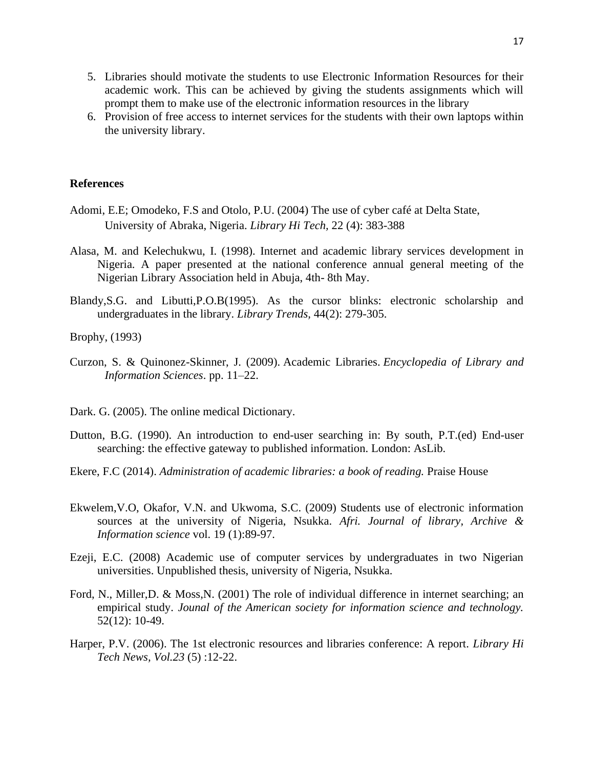- 5. Libraries should motivate the students to use Electronic Information Resources for their academic work. This can be achieved by giving the students assignments which will prompt them to make use of the electronic information resources in the library
- 6. Provision of free access to internet services for the students with their own laptops within the university library.

#### **References**

- Adomi, E.E; Omodeko, F.S and Otolo, P.U. (2004) The use of cyber café at Delta State, University of Abraka, Nigeria. *Library Hi Tech,* 22 (4): 383-388
- Alasa, M. and Kelechukwu, I. (1998). Internet and academic library services development in Nigeria. A paper presented at the national conference annual general meeting of the Nigerian Library Association held in Abuja, 4th- 8th May.
- Blandy,S.G. and Libutti,P.O.B(1995). As the cursor blinks: electronic scholarship and undergraduates in the library. *Library Trends,* 44(2): 279-305.

Brophy, (1993)

- Curzon, S. & Quinonez-Skinner, J. (2009). [Academic Libraries.](http://www.tandfonline.com/doi/pdf/10.1081/E-ELIS3-120044390) *Encyclopedia of Library and Information Sciences*. pp. 11–22.
- Dark. G. (2005). The online medical Dictionary.
- Dutton, B.G. (1990). An introduction to end-user searching in: By south, P.T.(ed) End-user searching: the effective gateway to published information. London: AsLib.
- Ekere, F.C (2014). *Administration of academic libraries: a book of reading.* Praise House
- Ekwelem,V.O, Okafor, V.N. and Ukwoma, S.C. (2009) Students use of electronic information sources at the university of Nigeria, Nsukka. *Afri. Journal of library, Archive & Information science* vol. 19 (1):89-97.
- Ezeji, E.C. (2008) Academic use of computer services by undergraduates in two Nigerian universities. Unpublished thesis, university of Nigeria, Nsukka.
- Ford, N., Miller,D. & Moss,N. (2001) The role of individual difference in internet searching; an empirical study. *Jounal of the American society for information science and technology.*  52(12): 10-49.
- Harper, P.V. (2006). The 1st electronic resources and libraries conference: A report. *Library Hi Tech News, Vol.23* (5) :12-22.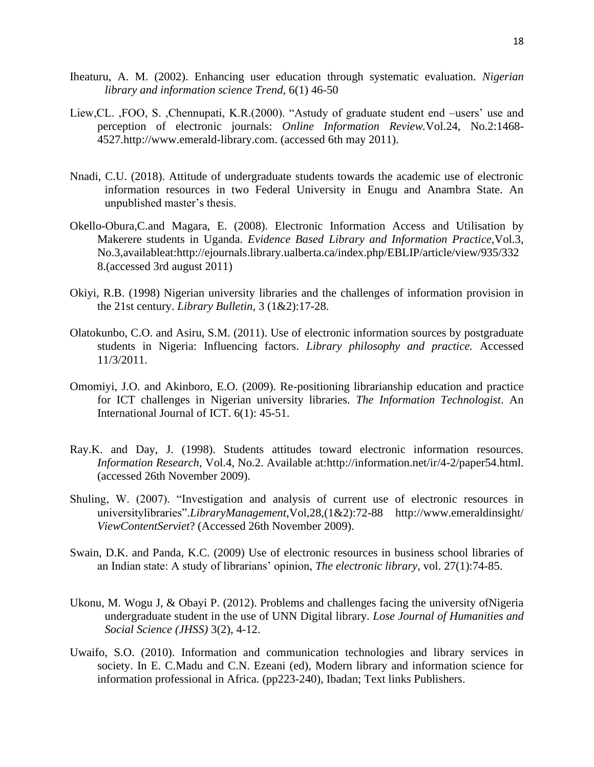- Iheaturu, A. M. (2002). Enhancing user education through systematic evaluation. *Nigerian library and information science Trend,* 6(1) 46-50
- Liew,CL. ,FOO, S. ,Chennupati, K.R.(2000). "Astudy of graduate student end –users' use and perception of electronic journals: *Online Information Review.*Vol.24, No.2:1468- 4527.http://www.emerald-library.com. (accessed 6th may 2011).
- Nnadi, C.U. (2018). Attitude of undergraduate students towards the academic use of electronic information resources in two Federal University in Enugu and Anambra State. An unpublished master's thesis.
- Okello-Obura,C.and Magara, E. (2008). Electronic Information Access and Utilisation by Makerere students in Uganda. *Evidence Based Library and Information Practice,*Vol.3, No.3,availableat:http://ejournals.library.ualberta.ca/index.php/EBLIP/article/view/935/332 8.(accessed 3rd august 2011)
- Okiyi, R.B. (1998) Nigerian university libraries and the challenges of information provision in the 21st century. *Library Bulletin,* 3 (1&2):17-28.
- Olatokunbo, C.O. and Asiru, S.M. (2011). Use of electronic information sources by postgraduate students in Nigeria: Influencing factors. *Library philosophy and practice.* Accessed 11/3/2011.
- Omomiyi, J.O. and Akinboro, E.O. (2009). Re-positioning librarianship education and practice for ICT challenges in Nigerian university libraries. *The Information Technologist*. An International Journal of ICT. 6(1): 45-51.
- Ray.K. and Day, J. (1998). Students attitudes toward electronic information resources. *Information Research,* Vol.4, No.2. Available at:http://information.net/ir/4-2/paper54.html. (accessed 26th November 2009).
- Shuling, W. (2007). "Investigation and analysis of current use of electronic resources in universitylibraries".*LibraryManagement,*Vol,28,(1&2):72-88 http://www.emeraldinsight/ *ViewContentServiet*? (Accessed 26th November 2009).
- Swain, D.K. and Panda, K.C. (2009) Use of electronic resources in business school libraries of an Indian state: A study of librarians' opinion, *The electronic library,* vol. 27(1):74-85.
- Ukonu, M. Wogu J, & Obayi P. (2012). Problems and challenges facing the university ofNigeria undergraduate student in the use of UNN Digital library. *Lose Journal of Humanities and Social Science (JHSS)* 3(2), 4-12.
- Uwaifo, S.O. (2010). Information and communication technologies and library services in society. In E. C.Madu and C.N. Ezeani (ed), Modern library and information science for information professional in Africa. (pp223-240), Ibadan; Text links Publishers.